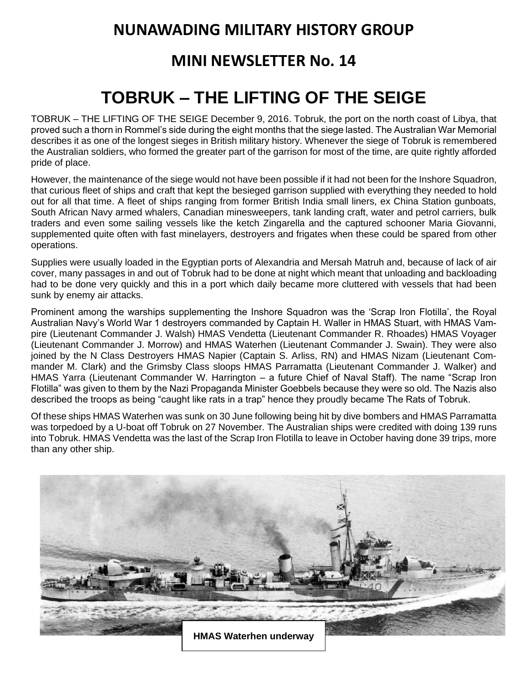## **NUNAWADING MILITARY HISTORY GROUP**

## **MINI NEWSLETTER No. 14**

## **TOBRUK – THE LIFTING OF THE SEIGE**

TOBRUK – THE LIFTING OF THE SEIGE December 9, 2016. Tobruk, the port on the north coast of Libya, that proved such a thorn in Rommel's side during the eight months that the siege lasted. The Australian War Memorial describes it as one of the longest sieges in British military history. Whenever the siege of Tobruk is remembered the Australian soldiers, who formed the greater part of the garrison for most of the time, are quite rightly afforded pride of place.

However, the maintenance of the siege would not have been possible if it had not been for the Inshore Squadron, that curious fleet of ships and craft that kept the besieged garrison supplied with everything they needed to hold out for all that time. A fleet of ships ranging from former British India small liners, ex China Station gunboats, South African Navy armed whalers, Canadian minesweepers, tank landing craft, water and petrol carriers, bulk traders and even some sailing vessels like the ketch Zingarella and the captured schooner Maria Giovanni, supplemented quite often with fast minelayers, destroyers and frigates when these could be spared from other operations.

Supplies were usually loaded in the Egyptian ports of Alexandria and Mersah Matruh and, because of lack of air cover, many passages in and out of Tobruk had to be done at night which meant that unloading and backloading had to be done very quickly and this in a port which daily became more cluttered with vessels that had been sunk by enemy air attacks.

Prominent among the warships supplementing the Inshore Squadron was the 'Scrap Iron Flotilla', the Royal Australian Navy's World War 1 destroyers commanded by Captain H. Waller in HMAS Stuart, with HMAS Vampire (Lieutenant Commander J. Walsh) HMAS Vendetta (Lieutenant Commander R. Rhoades) HMAS Voyager (Lieutenant Commander J. Morrow) and HMAS Waterhen (Lieutenant Commander J. Swain). They were also joined by the N Class Destroyers HMAS Napier (Captain S. Arliss, RN) and HMAS Nizam (Lieutenant Commander M. Clark) and the Grimsby Class sloops HMAS Parramatta (Lieutenant Commander J. Walker) and HMAS Yarra (Lieutenant Commander W. Harrington – a future Chief of Naval Staff). The name "Scrap Iron Flotilla" was given to them by the Nazi Propaganda Minister Goebbels because they were so old. The Nazis also described the troops as being "caught like rats in a trap" hence they proudly became The Rats of Tobruk.

Of these ships HMAS Waterhen was sunk on 30 June following being hit by dive bombers and HMAS Parramatta was torpedoed by a U-boat off Tobruk on 27 November. The Australian ships were credited with doing 139 runs into Tobruk. HMAS Vendetta was the last of the Scrap Iron Flotilla to leave in October having done 39 trips, more than any other ship.

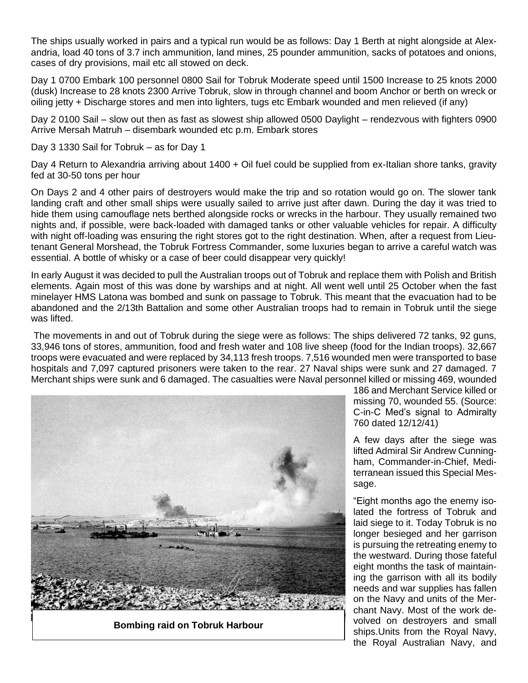The ships usually worked in pairs and a typical run would be as follows: Day 1 Berth at night alongside at Alexandria, load 40 tons of 3.7 inch ammunition, land mines, 25 pounder ammunition, sacks of potatoes and onions, cases of dry provisions, mail etc all stowed on deck.

Day 1 0700 Embark 100 personnel 0800 Sail for Tobruk Moderate speed until 1500 Increase to 25 knots 2000 (dusk) Increase to 28 knots 2300 Arrive Tobruk, slow in through channel and boom Anchor or berth on wreck or oiling jetty + Discharge stores and men into lighters, tugs etc Embark wounded and men relieved (if any)

Day 2 0100 Sail – slow out then as fast as slowest ship allowed 0500 Daylight – rendezvous with fighters 0900 Arrive Mersah Matruh – disembark wounded etc p.m. Embark stores

Day 3 1330 Sail for Tobruk – as for Day 1

Day 4 Return to Alexandria arriving about 1400 + Oil fuel could be supplied from ex-Italian shore tanks, gravity fed at 30-50 tons per hour

On Days 2 and 4 other pairs of destroyers would make the trip and so rotation would go on. The slower tank landing craft and other small ships were usually sailed to arrive just after dawn. During the day it was tried to hide them using camouflage nets berthed alongside rocks or wrecks in the harbour. They usually remained two nights and, if possible, were back-loaded with damaged tanks or other valuable vehicles for repair. A difficulty with night off-loading was ensuring the right stores got to the right destination. When, after a request from Lieutenant General Morshead, the Tobruk Fortress Commander, some luxuries began to arrive a careful watch was essential. A bottle of whisky or a case of beer could disappear very quickly!

In early August it was decided to pull the Australian troops out of Tobruk and replace them with Polish and British elements. Again most of this was done by warships and at night. All went well until 25 October when the fast minelayer HMS Latona was bombed and sunk on passage to Tobruk. This meant that the evacuation had to be abandoned and the 2/13th Battalion and some other Australian troops had to remain in Tobruk until the siege was lifted.

The movements in and out of Tobruk during the siege were as follows: The ships delivered 72 tanks, 92 guns, 33,946 tons of stores, ammunition, food and fresh water and 108 live sheep (food for the Indian troops). 32,667 troops were evacuated and were replaced by 34,113 fresh troops. 7,516 wounded men were transported to base hospitals and 7,097 captured prisoners were taken to the rear. 27 Naval ships were sunk and 27 damaged. 7 Merchant ships were sunk and 6 damaged. The casualties were Naval personnel killed or missing 469, wounded



**Bombing raid on Tobruk Harbour**

186 and Merchant Service killed or missing 70, wounded 55. (Source: C-in-C Med's signal to Admiralty 760 dated 12/12/41)

A few days after the siege was lifted Admiral Sir Andrew Cunningham, Commander-in-Chief, Mediterranean issued this Special Message.

"Eight months ago the enemy isolated the fortress of Tobruk and laid siege to it. Today Tobruk is no longer besieged and her garrison is pursuing the retreating enemy to the westward. During those fateful eight months the task of maintaining the garrison with all its bodily needs and war supplies has fallen on the Navy and units of the Merchant Navy. Most of the work devolved on destroyers and small ships.Units from the Royal Navy, the Royal Australian Navy, and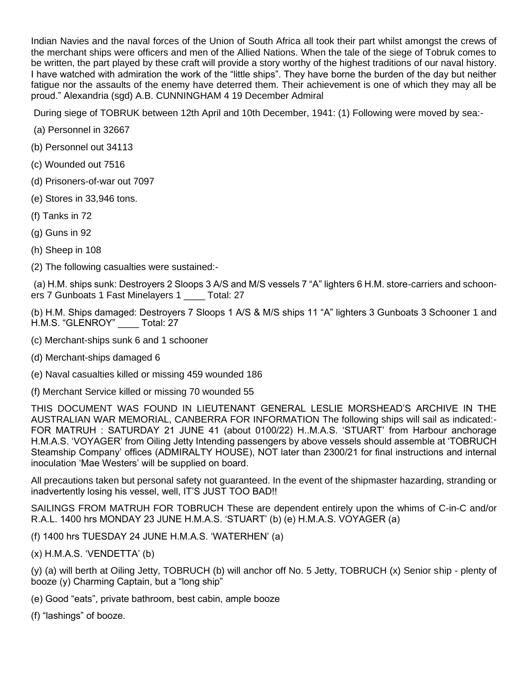Indian Navies and the naval forces of the Union of South Africa all took their part whilst amongst the crews of the merchant ships were officers and men of the Allied Nations. When the tale of the siege of Tobruk comes to be written, the part played by these craft will provide a story worthy of the highest traditions of our naval history. I have watched with admiration the work of the "little ships". They have borne the burden of the day but neither fatigue nor the assaults of the enemy have deterred them. Their achievement is one of which they may all be proud." Alexandria (sgd) A.B. CUNNINGHAM 4 19 December Admiral

During siege of TOBRUK between 12th April and 10th December, 1941: (1) Following were moved by sea:-

- (a) Personnel in 32667
- (b) Personnel out 34113
- (c) Wounded out 7516
- (d) Prisoners-of-war out 7097
- (e) Stores in 33,946 tons.
- (f) Tanks in 72
- (g) Guns in 92
- (h) Sheep in 108
- (2) The following casualties were sustained:-

(a) H.M. ships sunk: Destroyers 2 Sloops 3 A/S and M/S vessels 7 "A" lighters 6 H.M. store-carriers and schooners 7 Gunboats 1 Fast Minelayers 1 \_\_\_\_ Total: 27

(b) H.M. Ships damaged: Destroyers 7 Sloops 1 A/S & M/S ships 11 "A" lighters 3 Gunboats 3 Schooner 1 and H.M.S. "GLENROY" \_\_\_\_ Total: 27

- (c) Merchant-ships sunk 6 and 1 schooner
- (d) Merchant-ships damaged 6
- (e) Naval casualties killed or missing 459 wounded 186
- (f) Merchant Service killed or missing 70 wounded 55

THIS DOCUMENT WAS FOUND IN LIEUTENANT GENERAL LESLIE MORSHEAD'S ARCHIVE IN THE AUSTRALIAN WAR MEMORIAL, CANBERRA FOR INFORMATION The following ships will sail as indicated:- FOR MATRUH : SATURDAY 21 JUNE 41 (about 0100/22) H..M.A.S. 'STUART' from Harbour anchorage H.M.A.S. 'VOYAGER' from Oiling Jetty Intending passengers by above vessels should assemble at 'TOBRUCH Steamship Company' offices (ADMIRALTY HOUSE), NOT later than 2300/21 for final instructions and internal inoculation 'Mae Westers' will be supplied on board.

All precautions taken but personal safety not guaranteed. In the event of the shipmaster hazarding, stranding or inadvertently losing his vessel, well, IT'S JUST TOO BAD!!

SAILINGS FROM MATRUH FOR TOBRUCH These are dependent entirely upon the whims of C-in-C and/or R.A.L. 1400 hrs MONDAY 23 JUNE H.M.A.S. 'STUART' (b) (e) H.M.A.S. VOYAGER (a)

- (f) 1400 hrs TUESDAY 24 JUNE H.M.A.S. 'WATERHEN' (a)
- (x) H.M.A.S. 'VENDETTA' (b)

(y) (a) will berth at Oiling Jetty, TOBRUCH (b) will anchor off No. 5 Jetty, TOBRUCH (x) Senior ship - plenty of booze (y) Charming Captain, but a "long ship"

(e) Good "eats", private bathroom, best cabin, ample booze

(f) "lashings" of booze.